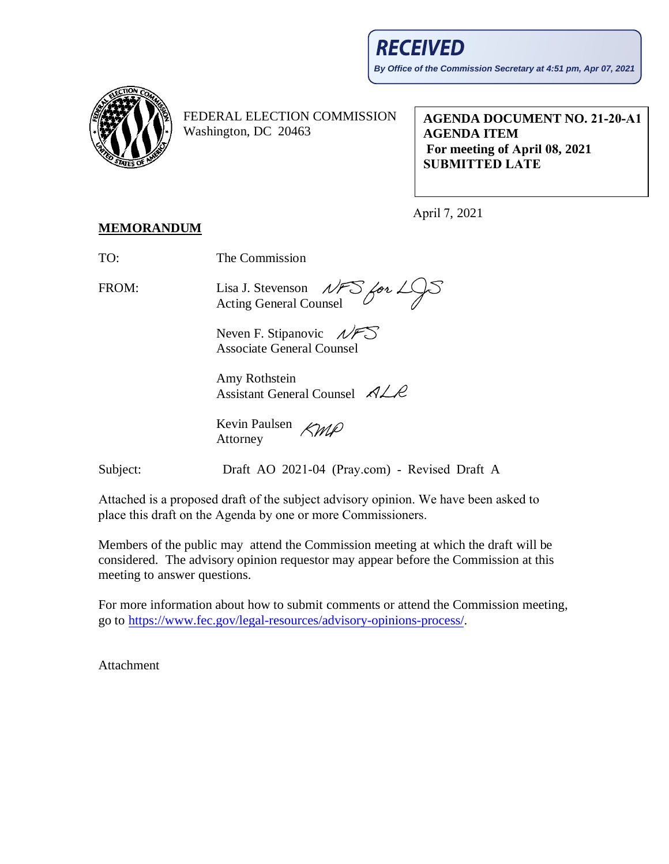

FEDERAL ELECTION COMMISSION Washington, DC 20463

**AGENDA DOCUMENT NO. 21-20-A1 AGENDA ITEM For meeting of April 08, 2021 SUBMITTED LATE**

April 7, 2021

## **MEMORANDUM**

TO: The Commission

FROM: Lisa J. Stevenson  $NFS$  for  $L/S$ Acting General Counsel

Neven F. Stipanovic  $\mathcal{N}$ Associate General Counsel

Amy Rothstein Assistant General Counsel  $\n *A*  $\angle$  *R*$ 

Kevin Paulsen *KMP* Attorney

Subject: Draft AO 2021-04 (Pray.com) - Revised Draft A

Attached is a proposed draft of the subject advisory opinion. We have been asked to place this draft on the Agenda by one or more Commissioners.

Members of the public may attend the Commission meeting at which the draft will be considered. The advisory opinion requestor may appear before the Commission at this meeting to answer questions.

For more information about how to submit comments or attend the Commission meeting, go to https://www.fec.gov/legal-resources/advisory-opinions-process/.

Atta[chment](https://www.fec.gov/legal-resources/advisory-opinions-process/)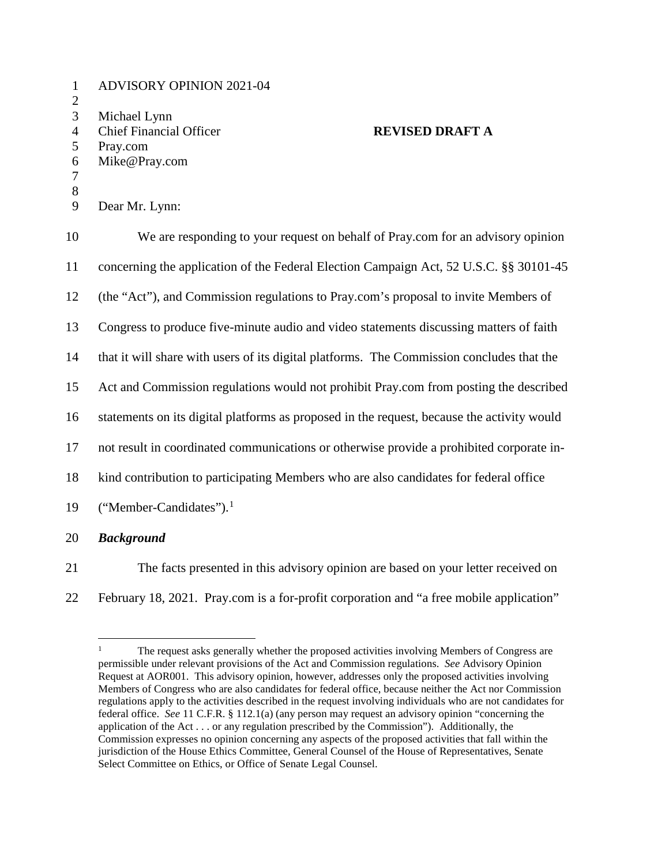1 ADVISORY OPINION 2021-04 2 3 Michael Lynn 4 Chief Financial Officer **REVISED DRAFT A**  5 Pray.com 6 Mike@Pray.com 7 8 9 Dear Mr. Lynn: 10 We are responding to your request on behalf of Pray.com for an advisory opinion 11 concerning the application of the Federal Election Campaign Act, 52 U.S.C. §§ 30101-45 12 (the "Act"), and Commission regulations to Pray.com's proposal to invite Members of 13 Congress to produce five-minute audio and video statements discussing matters of faith 14 that it will share with users of its digital platforms. The Commission concludes that the 15 Act and Commission regulations would not prohibit Pray.com from posting the described 16 statements on its digital platforms as proposed in the request, because the activity would 17 not result in coordinated communications or otherwise provide a prohibited corporate in-18 kind contribution to participating Members who are also candidates for federal office [1](#page-1-0)9 ("Member-Candidates").<sup>1</sup> 20 *Background* 

21 The facts presented in this advisory opinion are based on your letter received on 22 February 18, 2021. Pray.com is a for-profit corporation and "a free mobile application"

<span id="page-1-0"></span><sup>&</sup>lt;sup>1</sup> The request asks generally whether the proposed activities involving Members of Congress are permissible under relevant provisions of the Act and Commission regulations. *See* Advisory Opinion Request at AOR001. This advisory opinion, however, addresses only the proposed activities involving Members of Congress who are also candidates for federal office, because neither the Act nor Commission regulations apply to the activities described in the request involving individuals who are not candidates for federal office. *See* 11 C.F.R. § 112.1(a) (any person may request an advisory opinion "concerning the application of the Act . . . or any regulation prescribed by the Commission"). Additionally, the Commission expresses no opinion concerning any aspects of the proposed activities that fall within the jurisdiction of the House Ethics Committee, General Counsel of the House of Representatives, Senate Select Committee on Ethics, or Office of Senate Legal Counsel.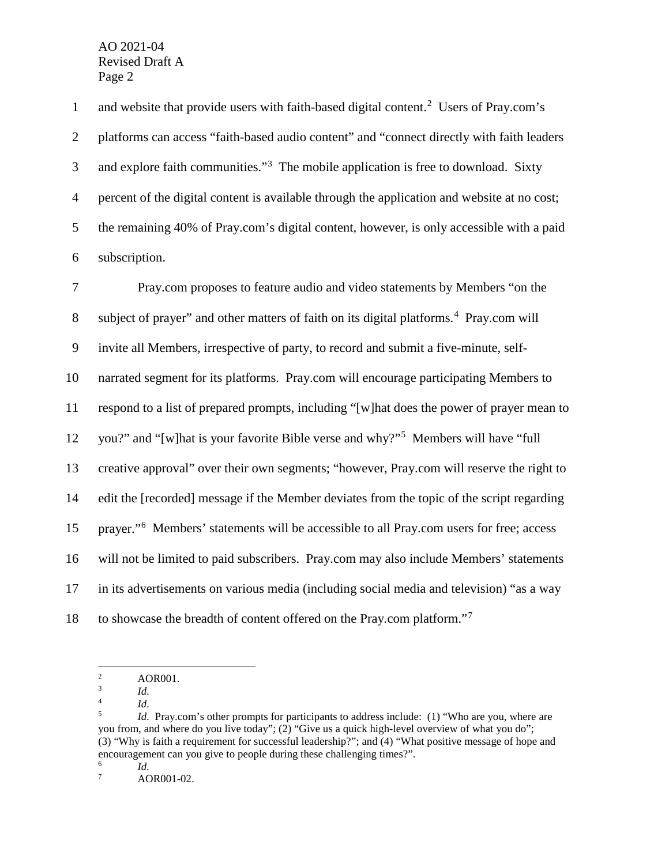1 and website that provide users with faith-based digital content.<sup>[2](#page-2-0)</sup> Users of Pray.com's platforms can access "faith-based audio content" and "connect directly with faith leaders and explore faith communities."<sup>3</sup> The mobile application is free to download. Sixty percent of the digital content is available through the application and website at no cost; the remaining 40% of Pray.com's digital content, however, is only accessible with a paid subscription.

 Pray.com proposes to feature audio and video statements by Members "on the 8 subject of prayer" and other matters of faith on its digital platforms.<sup>[4](#page-2-2)</sup> Pray.com will invite all Members, irrespective of party, to record and submit a five-minute, self- narrated segment for its platforms. Pray.com will encourage participating Members to respond to a list of prepared prompts, including "[w]hat does the power of prayer mean to 12 you?" and "[w]hat is your favorite Bible verse and why?"<sup>5</sup> Members will have "full creative approval" over their own segments; "however, Pray.com will reserve the right to edit the [recorded] message if the Member deviates from the topic of the script regarding prayer."<sup>6</sup> Members' statements will be accessible to all Pray.com users for free; access will not be limited to paid subscribers. Pray.com may also include Members' statements in its advertisements on various media (including social media and television) "as a way 18 to showcase the breadth of content offered on the Pray.com platform."<sup>[7](#page-2-5)</sup>

<span id="page-2-0"></span><sup>&</sup>lt;sup>2</sup> AOR001.

 $\frac{3}{4}$  *Id.* 

<span id="page-2-3"></span><span id="page-2-2"></span><span id="page-2-1"></span><sup>&</sup>lt;sup>4</sup> *Id.*<br><sup>5</sup> *Id.* Pray.com's other prompts for participants to address include: (1) "Who are you, where are you from, and where do you live today"; (2) "Give us a quick high-level overview of what you do"; (3) "Why is faith a requirement for successful leadership?"; and (4) "What positive message of hope and encouragement can you give to people during these challenging times?".<br><sup>6</sup> *Id.* AOR001-02.

<span id="page-2-5"></span><span id="page-2-4"></span>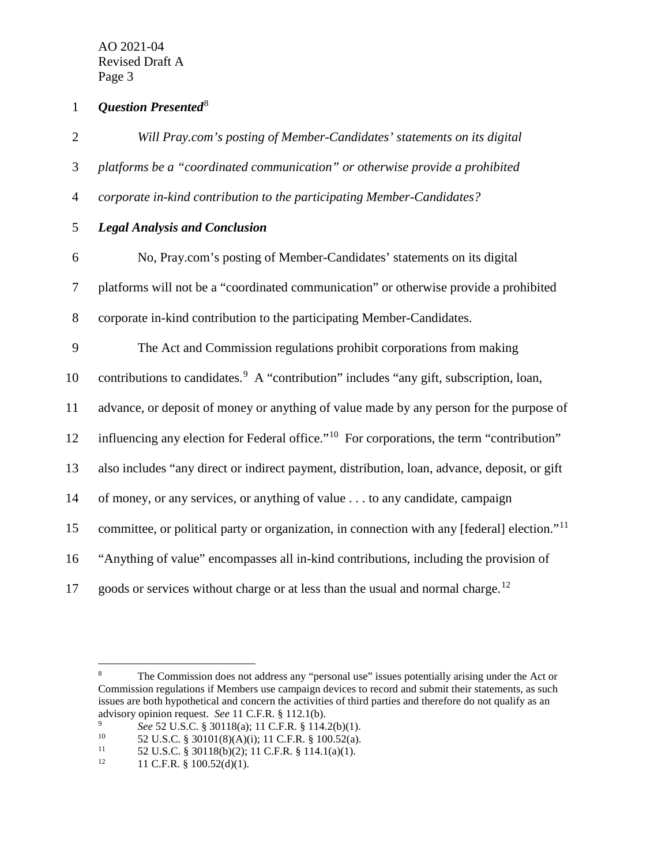1 **Question Presented**<sup>[8](#page-3-0)</sup>

| $\mathbf{2}$   | Will Pray.com's posting of Member-Candidates' statements on its digital                                  |
|----------------|----------------------------------------------------------------------------------------------------------|
| 3              | platforms be a "coordinated communication" or otherwise provide a prohibited                             |
| $\overline{4}$ | corporate in-kind contribution to the participating Member-Candidates?                                   |
| 5              | <b>Legal Analysis and Conclusion</b>                                                                     |
| 6              | No, Pray.com's posting of Member-Candidates' statements on its digital                                   |
| 7              | platforms will not be a "coordinated communication" or otherwise provide a prohibited                    |
| $8\,$          | corporate in-kind contribution to the participating Member-Candidates.                                   |
| 9              | The Act and Commission regulations prohibit corporations from making                                     |
| 10             | contributions to candidates. <sup>9</sup> A "contribution" includes "any gift, subscription, loan,       |
| 11             | advance, or deposit of money or anything of value made by any person for the purpose of                  |
| 12             | influencing any election for Federal office." <sup>10</sup> For corporations, the term "contribution"    |
| 13             | also includes "any direct or indirect payment, distribution, loan, advance, deposit, or gift             |
| 14             | of money, or any services, or anything of value to any candidate, campaign                               |
| 15             | committee, or political party or organization, in connection with any [federal] election." <sup>11</sup> |
| 16             | "Anything of value" encompasses all in-kind contributions, including the provision of                    |
| 17             | goods or services without charge or at less than the usual and normal charge. <sup>12</sup>              |

<span id="page-3-0"></span><sup>&</sup>lt;sup>8</sup> The Commission does not address any "personal use" issues potentially arising under the Act or Commission regulations if Members use campaign devices to record and submit their statements, as such issues are both hypothetical and concern the activities of third parties and therefore do not qualify as an advisory opinion request. *See* 11 C.F.R. § 112.1(b).<br><sup>9</sup> See 52 U.S.C. § 30118(a); 11 C.F.R. § 114.2(b)(1).

<span id="page-3-2"></span><span id="page-3-1"></span><sup>10</sup> **52 U.S.C.** § 30101(8)(A)(i); 11 C.F.R. § 100.52(a).<br><sup>11</sup> 52 U.S.C. § 30118(b)(2): 11 C.F.R. § 100.52(a).

<span id="page-3-3"></span><sup>&</sup>lt;sup>11</sup> 52 U.S.C. § 30118(b)(2); 11 C.F.R. § 114.1(a)(1).<br><sup>12</sup> 11 C.F.R. § 100.52(d)(1).

<span id="page-3-4"></span><sup>12</sup> 11 C.F.R. § 100.52(d)(1).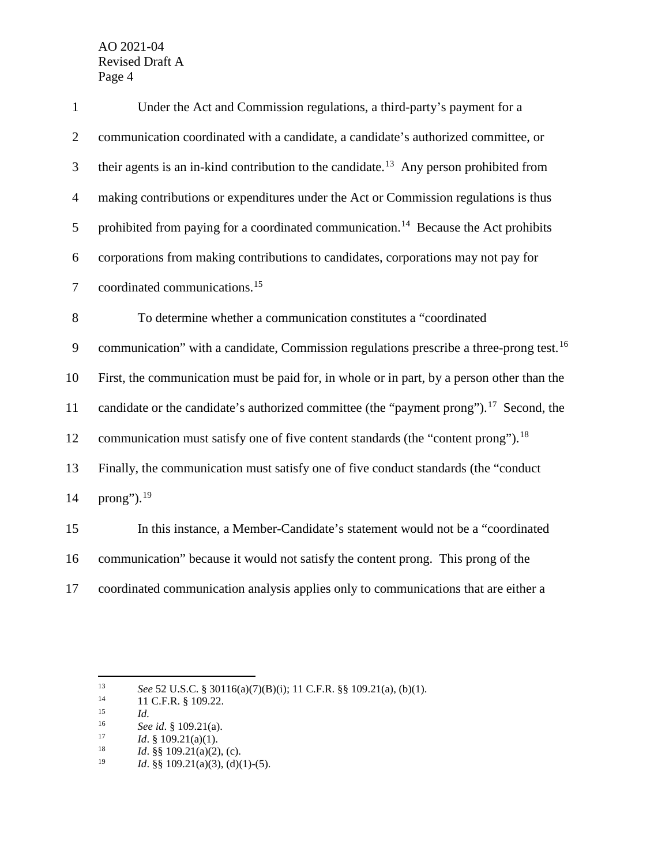| $\mathbf{1}$     | Under the Act and Commission regulations, a third-party's payment for a                             |
|------------------|-----------------------------------------------------------------------------------------------------|
| $\overline{2}$   | communication coordinated with a candidate, a candidate's authorized committee, or                  |
| 3                | their agents is an in-kind contribution to the candidate. <sup>13</sup> Any person prohibited from  |
| $\overline{4}$   | making contributions or expenditures under the Act or Commission regulations is thus                |
| 5                | prohibited from paying for a coordinated communication. <sup>14</sup> Because the Act prohibits     |
| 6                | corporations from making contributions to candidates, corporations may not pay for                  |
| $\boldsymbol{7}$ | coordinated communications. <sup>15</sup>                                                           |
| 8                | To determine whether a communication constitutes a "coordinated                                     |
| 9                | communication" with a candidate, Commission regulations prescribe a three-prong test. <sup>16</sup> |
| 10               | First, the communication must be paid for, in whole or in part, by a person other than the          |
| 11               | candidate or the candidate's authorized committee (the "payment prong"). <sup>17</sup> Second, the  |
| 12               | communication must satisfy one of five content standards (the "content prong"). <sup>18</sup>       |
| 13               | Finally, the communication must satisfy one of five conduct standards (the "conduct"                |
| 14               | prong"). <sup>19</sup>                                                                              |
| 15               | In this instance, a Member-Candidate's statement would not be a "coordinated                        |
| 16               | communication" because it would not satisfy the content prong. This prong of the                    |

17 coordinated communication analysis applies only to communications that are either a

<span id="page-4-1"></span><span id="page-4-0"></span><sup>13</sup> *See* 52 U.S.C. § 30116(a)(7)(B)(i); 11 C.F.R. §§ 109.21(a), (b)(1).<br>
11 C.F.R. § 109.22.<br>
15 *Id.*<br>
See id § 109 21(a)

<span id="page-4-3"></span><span id="page-4-2"></span><sup>16</sup> *See id.* § 109.21(a).<br>17 *Id.* § 109.21(a)(1).

<span id="page-4-6"></span><span id="page-4-5"></span><span id="page-4-4"></span><sup>&</sup>lt;sup>18</sup> *Id.* §§ 109.21(a)(2), (c).<br><sup>19</sup> *Id.* §§ 109.21(a)(3), (d)(1)

*Id.* §§ 109.21(a)(3), (d)(1)-(5).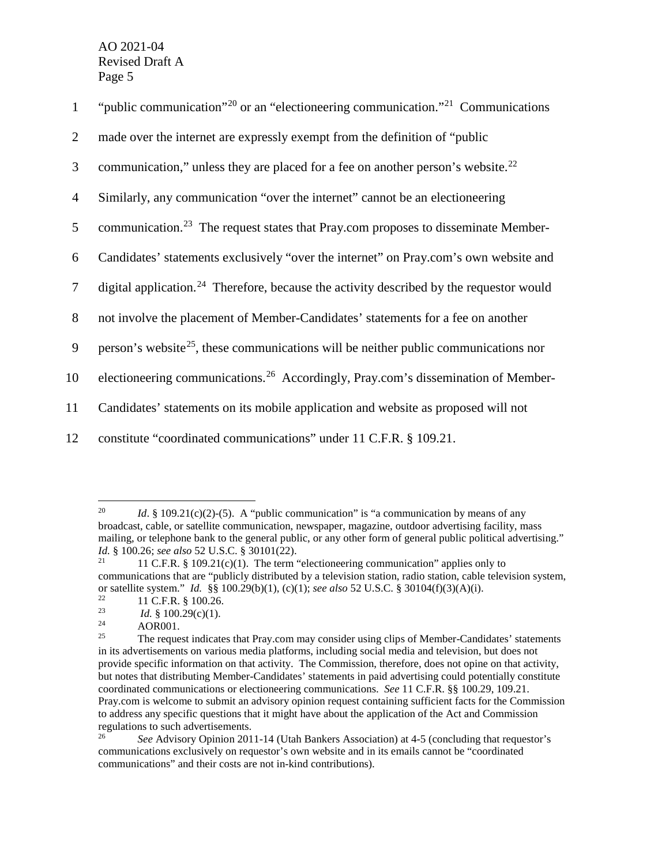| $\mathbf{1}$   | "public communication" <sup>20</sup> or an "electioneering communication." <sup>21</sup> Communications" |
|----------------|----------------------------------------------------------------------------------------------------------|
| 2              | made over the internet are expressly exempt from the definition of "public"                              |
| 3              | communication," unless they are placed for a fee on another person's website. <sup>22</sup>              |
| $\overline{4}$ | Similarly, any communication "over the internet" cannot be an electioneering                             |
| 5              | communication. <sup>23</sup> The request states that Pray.com proposes to disseminate Member-            |
| 6              | Candidates' statements exclusively "over the internet" on Pray.com's own website and                     |
| $\tau$         | digital application. <sup>24</sup> Therefore, because the activity described by the requestor would      |
| 8              | not involve the placement of Member-Candidates' statements for a fee on another                          |
| 9              | person's website <sup>25</sup> , these communications will be neither public communications nor          |
| 10             | electioneering communications. <sup>26</sup> Accordingly, Pray.com's dissemination of Member-            |
| 11             | Candidates' statements on its mobile application and website as proposed will not                        |
| 12             | constitute "coordinated communications" under 11 C.F.R. § 109.21.                                        |

<span id="page-5-0"></span><sup>&</sup>lt;sup>20</sup> *Id.* § 109.21(c)(2)-(5). A "public communication" is "a communication by means of any broadcast, cable, or satellite communication, newspaper, magazine, outdoor advertising facility, mass mailing, or telephone bank to the general public, or any other form of general public political advertising." *Id.* § 100.26; *see also* 52 U.S.C. § 30101(22).

<span id="page-5-1"></span><sup>11</sup> C.F.R.  $§$  109.21(c)(1). The term "electioneering communication" applies only to communications that are "publicly distributed by a television station, radio station, cable television system, or satellite system." *Id.* §§ 100.29(b)(1), (c)(1); *see also* 52 U.S.C. § 30104(f)(3)(A)(i).

<span id="page-5-3"></span><span id="page-5-2"></span><sup>&</sup>lt;sup>22</sup> 11 C.F.R. § 100.26.<br>
<sup>23</sup> *Id.* § 100.29(c)(1).<br>
<sup>24</sup> 0OP001

 $\frac{24}{25}$  AOR001.

<span id="page-5-5"></span><span id="page-5-4"></span><sup>25</sup> The request indicates that Pray.com may consider using clips of Member-Candidates' statements in its advertisements on various media platforms, including social media and television, but does not provide specific information on that activity. The Commission, therefore, does not opine on that activity, but notes that distributing Member-Candidates' statements in paid advertising could potentially constitute coordinated communications or electioneering communications. *See* 11 C.F.R. §§ 100.29, 109.21. Pray.com is welcome to submit an advisory opinion request containing sufficient facts for the Commission to address any specific questions that it might have about the application of the Act and Commission regulations to such advertisements.<br><sup>26</sup> See Advisory Opinion 201

<span id="page-5-6"></span><sup>26</sup> *See* Advisory Opinion 2011-14 (Utah Bankers Association) at 4-5 (concluding that requestor's communications exclusively on requestor's own website and in its emails cannot be "coordinated communications" and their costs are not in-kind contributions).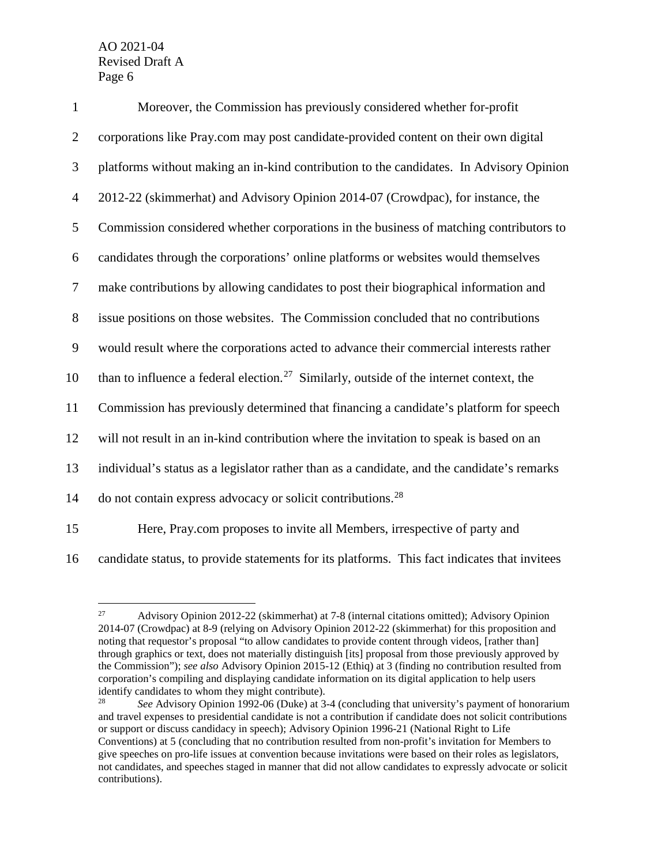| $\mathbf{1}$   | Moreover, the Commission has previously considered whether for-profit                               |
|----------------|-----------------------------------------------------------------------------------------------------|
| $\overline{2}$ | corporations like Pray.com may post candidate-provided content on their own digital                 |
| 3              | platforms without making an in-kind contribution to the candidates. In Advisory Opinion             |
| $\overline{4}$ | 2012-22 (skimmerhat) and Advisory Opinion 2014-07 (Crowdpac), for instance, the                     |
| 5              | Commission considered whether corporations in the business of matching contributors to              |
| 6              | candidates through the corporations' online platforms or websites would themselves                  |
| $\tau$         | make contributions by allowing candidates to post their biographical information and                |
| 8              | issue positions on those websites. The Commission concluded that no contributions                   |
| 9              | would result where the corporations acted to advance their commercial interests rather              |
| 10             | than to influence a federal election. <sup>27</sup> Similarly, outside of the internet context, the |
| 11             | Commission has previously determined that financing a candidate's platform for speech               |
| 12             | will not result in an in-kind contribution where the invitation to speak is based on an             |
| 13             | individual's status as a legislator rather than as a candidate, and the candidate's remarks         |
| 14             | do not contain express advocacy or solicit contributions. <sup>28</sup>                             |
| 15             | Here, Pray.com proposes to invite all Members, irrespective of party and                            |
|                |                                                                                                     |

<span id="page-6-0"></span>

<sup>16</sup> candidate status, to provide statements for its platforms. This fact indicates that invitees

 $^{27}$  Advisory Opinion 2012-22 (skimmerhat) at 7-8 (internal citations omitted); Advisory Opinion 2014-07 (Crowdpac) at 8-9 (relying on Advisory Opinion 2012-22 (skimmerhat) for this proposition and noting that requestor's proposal "to allow candidates to provide content through videos, [rather than] through graphics or text, does not materially distinguish [its] proposal from those previously approved by the Commission"); *see also* Advisory Opinion 2015-12 (Ethiq) at 3 (finding no contribution resulted from corporation's compiling and displaying candidate information on its digital application to help users identify candidates to whom they might contribute).<br>  $\frac{28}{100}$  See Advisory Opinion 1992.06 (Duka) at 3

<span id="page-6-1"></span><sup>28</sup> *See* Advisory Opinion 1992-06 (Duke) at 3-4 (concluding that university's payment of honorarium and travel expenses to presidential candidate is not a contribution if candidate does not solicit contributions or support or discuss candidacy in speech); Advisory Opinion 1996-21 (National Right to Life Conventions) at 5 (concluding that no contribution resulted from non-profit's invitation for Members to give speeches on pro-life issues at convention because invitations were based on their roles as legislators, not candidates, and speeches staged in manner that did not allow candidates to expressly advocate or solicit contributions).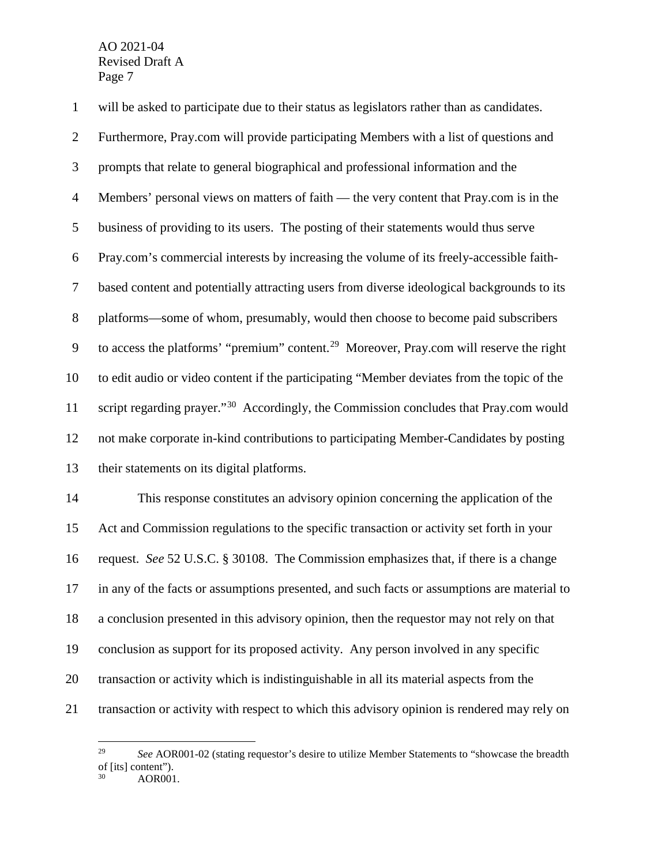will be asked to participate due to their status as legislators rather than as candidates.

 Furthermore, Pray.com will provide participating Members with a list of questions and prompts that relate to general biographical and professional information and the Members' personal views on matters of faith — the very content that Pray.com is in the business of providing to its users. The posting of their statements would thus serve Pray.com's commercial interests by increasing the volume of its freely-accessible faith- based content and potentially attracting users from diverse ideological backgrounds to its platforms—some of whom, presumably, would then choose to become paid subscribers to access the platforms' "premium" content.<sup>29</sup> Moreover, Pray.com will reserve the right to edit audio or video content if the participating "Member deviates from the topic of the 11 script regarding prayer." Accordingly, the Commission concludes that Pray.com would not make corporate in-kind contributions to participating Member-Candidates by posting their statements on its digital platforms.

 This response constitutes an advisory opinion concerning the application of the Act and Commission regulations to the specific transaction or activity set forth in your request. *See* 52 U.S.C. § 30108. The Commission emphasizes that, if there is a change in any of the facts or assumptions presented, and such facts or assumptions are material to a conclusion presented in this advisory opinion, then the requestor may not rely on that conclusion as support for its proposed activity. Any person involved in any specific transaction or activity which is indistinguishable in all its material aspects from the transaction or activity with respect to which this advisory opinion is rendered may rely on

<span id="page-7-1"></span><span id="page-7-0"></span><sup>&</sup>lt;sup>29</sup> *See* AOR001-02 (stating requestor's desire to utilize Member Statements to "showcase the breadth" of [its] content").<br><sup>30</sup> AOR001.